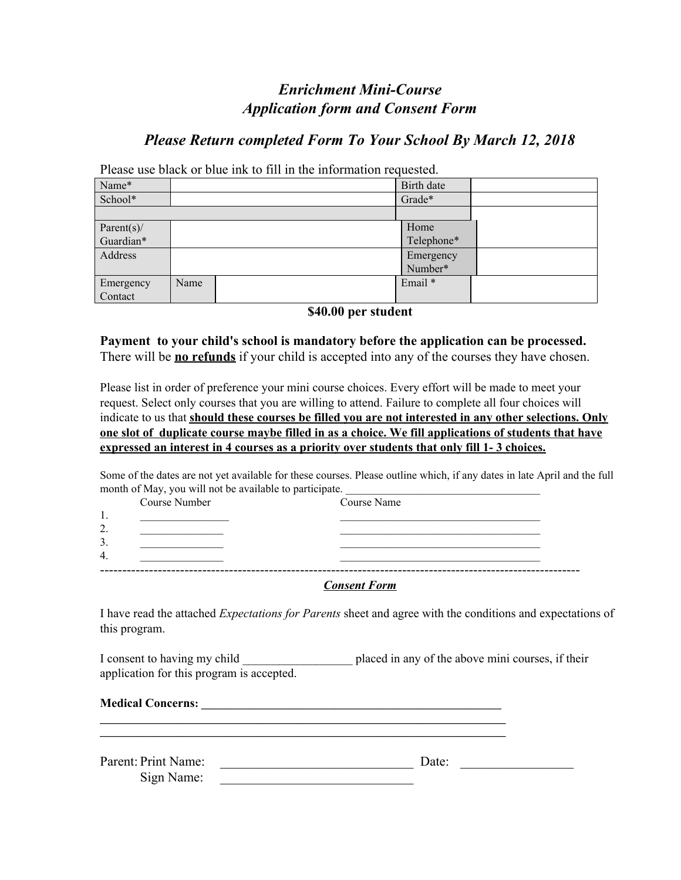# *Enrichment Mini-Course Application form and Consent Form*

## *Please Return completed Form To Your School By March 12, 2018*

Please use black or blue ink to fill in the information requested.

| Name*          |      | Birth date |  |
|----------------|------|------------|--|
| School*        |      | Grade*     |  |
|                |      |            |  |
| Parent $(s)$ / |      | Home       |  |
| Guardian*      |      | Telephone* |  |
| Address        |      | Emergency  |  |
|                |      | Number*    |  |
| Emergency      | Name | Email *    |  |
| Contact        |      |            |  |

**\$40.00 per student**

### **Payment to your child's school is mandatory before the application can be processed.** There will be **no refunds** if your child is accepted into any of the courses they have chosen.

Please list in order of preference your mini course choices. Every effort will be made to meet your request. Select only courses that you are willing to attend. Failure to complete all four choices will indicate to us that **should these courses be filled you are not interested in any other selections. Only** one slot of duplicate course maybe filled in as a choice. We fill applications of students that have **expressed an interest in 4 courses as a priority over students that only fill 1- 3 choices.**

Some of the dates are not yet available for these courses. Please outline which, if any dates in late April and the full month of May, you will not be available to participate.

|         | Course Number | Course Name |  |
|---------|---------------|-------------|--|
| . .     |               |             |  |
| ◠<br>z. |               |             |  |
| Ć.      |               |             |  |
| 4.      |               |             |  |
|         |               |             |  |
|         |               |             |  |

#### *Consent Form*

I have read the attached *Expectations for Parents* sheet and agree with the conditions and expectations of this program.

| I consent to having my child              | placed in any of the above mini courses, if their |
|-------------------------------------------|---------------------------------------------------|
| application for this program is accepted. |                                                   |

**Medical Concerns: \_\_\_\_\_\_\_\_\_\_\_\_\_\_\_\_\_\_\_\_\_\_\_\_\_\_\_\_\_\_\_\_\_\_\_\_\_\_\_\_\_\_\_\_\_\_\_\_\_\_\_\_\_\_**

| Parent: Print Name: | Date: |  |
|---------------------|-------|--|
| Sign Name:          |       |  |

**\_\_\_\_\_\_\_\_\_\_\_\_\_\_\_\_\_\_\_\_\_\_\_\_\_\_\_\_\_\_\_\_\_\_\_\_\_\_\_\_\_\_\_\_\_\_\_\_\_\_\_\_\_\_\_\_\_\_\_\_\_\_\_\_\_\_\_\_\_\_\_\_\_**